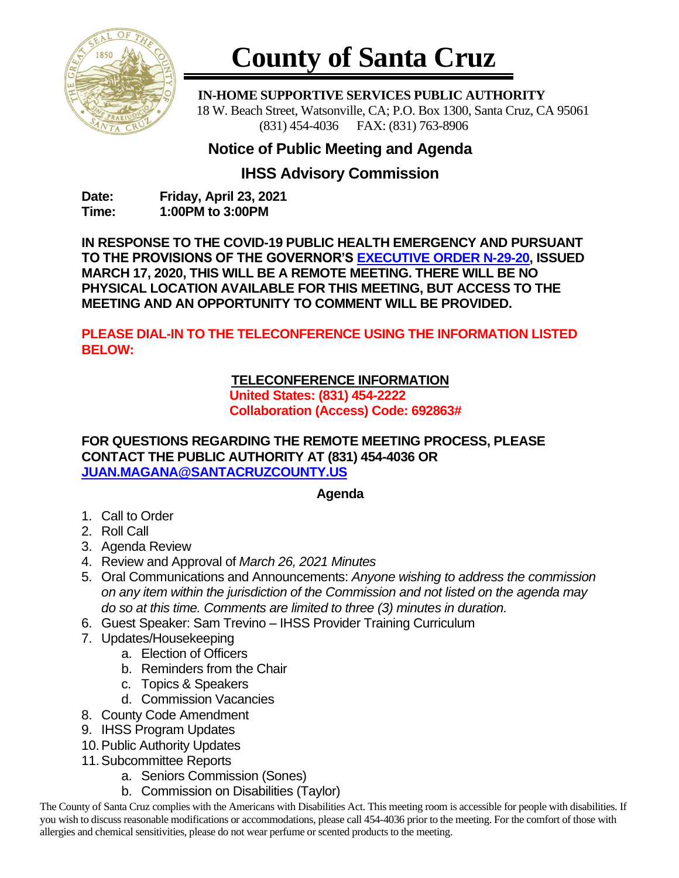

# **County of Santa Cruz**

 **IN-HOME SUPPORTIVE SERVICES PUBLIC AUTHORITY** 18 W. Beach Street, Watsonville, CA; P.O. Box 1300, Santa Cruz, CA 95061 (831) 454-4036 FAX: (831) 763-8906

# **Notice of Public Meeting and Agenda**

## **IHSS Advisory Commission**

**Date: Friday, April 23, 2021 Time: 1:00PM to 3:00PM**

**IN RESPONSE TO THE COVID-19 PUBLIC HEALTH EMERGENCY AND PURSUANT TO THE PROVISIONS OF THE GOVERNOR'S [EXECUTIVE ORDER N-29-20,](https://www.gov.ca.gov/wp-content/uploads/2020/03/3.17.20-N-29-20-EO.pdf) ISSUED MARCH 17, 2020, THIS WILL BE A REMOTE MEETING. THERE WILL BE NO PHYSICAL LOCATION AVAILABLE FOR THIS MEETING, BUT ACCESS TO THE MEETING AND AN OPPORTUNITY TO COMMENT WILL BE PROVIDED.**

**PLEASE DIAL-IN TO THE TELECONFERENCE USING THE INFORMATION LISTED BELOW:**

## **TELECONFERENCE INFORMATION**

**United States: (831) 454-2222 Collaboration (Access) Code: 692863#**

#### **FOR QUESTIONS REGARDING THE REMOTE MEETING PROCESS, PLEASE CONTACT THE PUBLIC AUTHORITY AT (831) 454-4036 OR [JUAN.MAGANA@SANTACRUZCOUNTY.US](mailto:JUAN.MAGANA@SANTACRUZCOUNTY.US)**

### **Agenda**

- 1. Call to Order
- 2. Roll Call
- 3. Agenda Review
- 4. Review and Approval of *March 26, 2021 Minutes*
- 5. Oral Communications and Announcements: *Anyone wishing to address the commission on any item within the jurisdiction of the Commission and not listed on the agenda may do so at this time. Comments are limited to three (3) minutes in duration.*
- 6. Guest Speaker: Sam Trevino IHSS Provider Training Curriculum
- 7. Updates/Housekeeping
	- a. Election of Officers
	- b. Reminders from the Chair
	- c. Topics & Speakers
	- d. Commission Vacancies
- 8. County Code Amendment
- 9. IHSS Program Updates
- 10.Public Authority Updates
- 11.Subcommittee Reports
	- a. Seniors Commission (Sones)
	- b. Commission on Disabilities (Taylor)

The County of Santa Cruz complies with the Americans with Disabilities Act. This meeting room is accessible for people with disabilities. If you wish to discuss reasonable modifications or accommodations, please call 454-4036 prior to the meeting. For the comfort of those with allergies and chemical sensitivities, please do not wear perfume or scented products to the meeting.